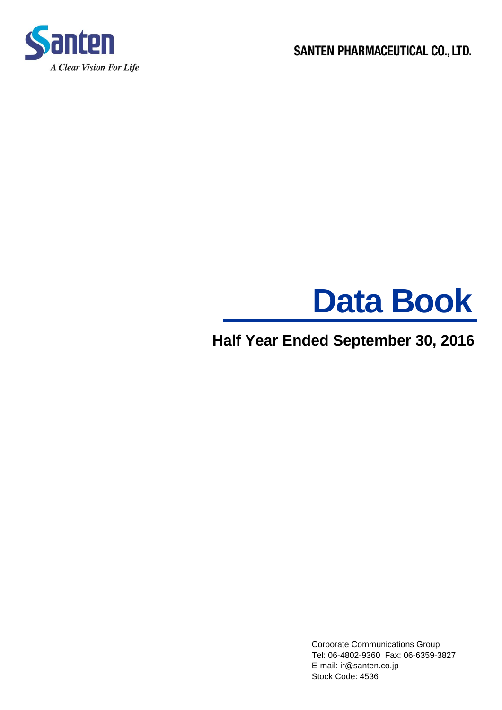

SANTEN PHARMACEUTICAL CO., LTD.



# **Half Year Ended September 30, 2016**

 Corporate Communications Group Tel: 06-4802-9360 Fax: 06-6359-3827 E-mail: ir@santen.co.jp Stock Code: 4536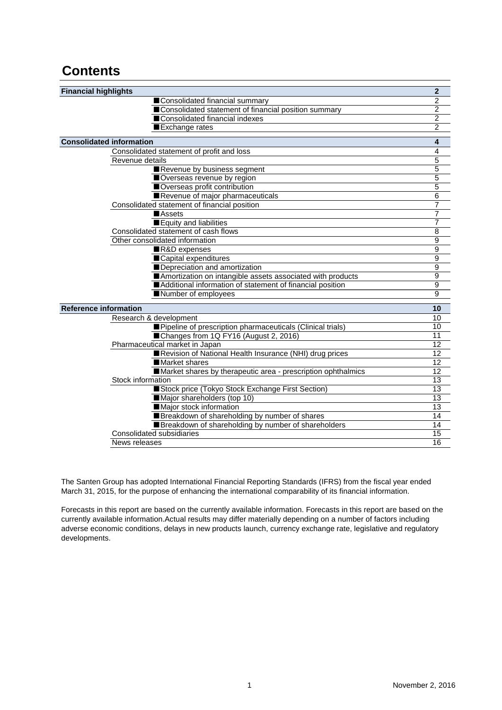## **Contents**

| <b>Financial highlights</b>                                  | $\overline{2}$  |
|--------------------------------------------------------------|-----------------|
| Consolidated financial summary                               | $\overline{2}$  |
| Consolidated statement of financial position summary         | $\overline{c}$  |
| Consolidated financial indexes                               | $\overline{2}$  |
| Exchange rates                                               | $\overline{2}$  |
| <b>Consolidated information</b>                              | 4               |
| Consolidated statement of profit and loss                    | 4               |
| Revenue details                                              | 5               |
| Revenue by business segment                                  | 5               |
| Overseas revenue by region                                   | 5               |
| Overseas profit contribution                                 | 5               |
| Revenue of major pharmaceuticals                             | 6               |
| Consolidated statement of financial position                 | $\overline{7}$  |
| <b>Assets</b>                                                | $\overline{7}$  |
| Equity and liabilities                                       | 7               |
| Consolidated statement of cash flows                         | 8               |
| Other consolidated information                               | 9               |
| R&D expenses                                                 | 9               |
| Capital expenditures                                         | 9               |
| Depreciation and amortization                                | 9               |
| Amortization on intangible assets associated with products   | 9               |
| Additional information of statement of financial position    | $\overline{9}$  |
| Number of employees                                          | 9               |
| <b>Reference information</b>                                 | 10              |
| Research & development                                       | 10              |
| Pipeline of prescription pharmaceuticals (Clinical trials)   | 10              |
| Changes from 1Q FY16 (August 2, 2016)                        | 11              |
| Pharmaceutical market in Japan                               | 12              |
| Revision of National Health Insurance (NHI) drug prices      | 12              |
| ■Market shares                                               | $\overline{12}$ |
| Market shares by therapeutic area - prescription ophthalmics | $\overline{12}$ |
| Stock information                                            | 13              |
| Stock price (Tokyo Stock Exchange First Section)             | 13              |
| Major shareholders (top 10)                                  | 13              |
| Major stock information                                      | $\overline{13}$ |
| Breakdown of shareholding by number of shares                | 14              |
| Breakdown of shareholding by number of shareholders          | 14              |
| Consolidated subsidiaries                                    | 15              |
| News releases                                                | 16              |

The Santen Group has adopted International Financial Reporting Standards (IFRS) from the fiscal year ended March 31, 2015, for the purpose of enhancing the international comparability of its financial information.

Forecasts in this report are based on the currently available information. Forecasts in this report are based on the currently available information.Actual results may differ materially depending on a number of factors including adverse economic conditions, delays in new products launch, currency exchange rate, legislative and regulatory developments.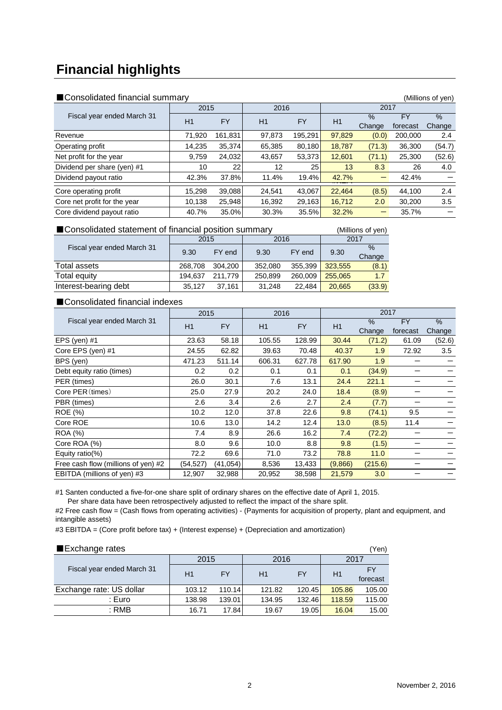# **Financial highlights**

| ■ Consolidated financial summary |  |
|----------------------------------|--|
|----------------------------------|--|

| ■ Consolidated financial summary |        |           |        | (Millions of yen) |        |                |                |                |
|----------------------------------|--------|-----------|--------|-------------------|--------|----------------|----------------|----------------|
|                                  | 2015   |           | 2016   |                   | 2017   |                |                |                |
| Fiscal year ended March 31       | H1     | <b>FY</b> | H1     | <b>FY</b>         | H1     | $\%$<br>Change | FY<br>forecast | $\%$<br>Change |
| Revenue                          | 71.920 | 161.831   | 97.873 | 195.291           | 97.829 | (0.0)          | 200,000        | 2.4            |
| Operating profit                 | 14.235 | 35,374    | 65,385 | 80,180            | 18,787 | (71.3)         | 36,300         | (54.7)         |
| Net profit for the year          | 9,759  | 24,032    | 43,657 | 53,373            | 12,601 | (71.1)         | 25,300         | (52.6)         |
| Dividend per share (yen) #1      | 10     | 22        | 12     | 25                | 13     | 8.3            | 26             | 4.0            |
| Dividend payout ratio            | 42.3%  | 37.8%     | 11.4%  | 19.4%             | 42.7%  |                | 42.4%          |                |
| Core operating profit            | 15.298 | 39,088    | 24,541 | 43,067            | 22,464 | (8.5)          | 44,100         | 2.4            |
| Core net profit for the year     | 10.138 | 25,948    | 16,392 | 29,163            | 16,712 | 2.0            | 30,200         | 3.5            |
| Core dividend payout ratio       | 40.7%  | 35.0%     | 30.3%  | 35.5%             | 32.2%  |                | 35.7%          |                |

#### ■Consolidated statement of financial position summary (Millions of yen)

|                            | 2015    |         | 2016    |         | 2017    |        |  |
|----------------------------|---------|---------|---------|---------|---------|--------|--|
| Fiscal year ended March 31 | 9.30    | FY end  | 9.30    | FY end  | 9.30    | $\%$   |  |
|                            |         |         |         |         |         | Change |  |
| Total assets               | 268.708 | 304.200 | 352.080 | 355.399 | 323,555 | (8.1)  |  |
| Total equity               | 194.637 | 211.779 | 250,899 | 260,009 | 255,065 | 1.7    |  |
| Interest-bearing debt      | 35.127  | 37.161  | 31.248  | 22.484  | 20.665  | (33.9) |  |

## ■Consolidated financial indexes

|                                     | 2015      |           | 2017<br>2016 |           |         |         |           |        |
|-------------------------------------|-----------|-----------|--------------|-----------|---------|---------|-----------|--------|
| Fiscal year ended March 31          | H1        | <b>FY</b> | H1           | <b>FY</b> | H1      | $\%$    | <b>FY</b> | $\%$   |
|                                     |           |           |              |           |         | Change  | forecast  | Change |
| EPS (yen) $#1$                      | 23.63     | 58.18     | 105.55       | 128.99    | 30.44   | (71.2)  | 61.09     | (52.6) |
| Core EPS (yen) #1                   | 24.55     | 62.82     | 39.63        | 70.48     | 40.37   | 1.9     | 72.92     | 3.5    |
| BPS (yen)                           | 471.23    | 511.14    | 606.31       | 627.78    | 617.90  | 1.9     |           |        |
| Debt equity ratio (times)           | 0.2       | 0.2       | 0.1          | 0.1       | 0.1     | (34.9)  |           |        |
| PER (times)                         | 26.0      | 30.1      | 7.6          | 13.1      | 24.4    | 221.1   |           |        |
| Core PER (times)                    | 25.0      | 27.9      | 20.2         | 24.0      | 18.4    | (8.9)   |           |        |
| PBR (times)                         | $2.6\,$   | 3.4       | 2.6          | 2.7       | 2.4     | (7.7)   |           |        |
| <b>ROE</b> (%)                      | 10.2      | 12.0      | 37.8         | 22.6      | 9.8     | (74.1)  | 9.5       |        |
| Core ROE                            | 10.6      | 13.0      | 14.2         | 12.4      | 13.0    | (8.5)   | 11.4      |        |
| <b>ROA</b> (%)                      | 7.4       | 8.9       | 26.6         | 16.2      | 7.4     | (72.2)  |           |        |
| Core ROA (%)                        | 8.0       | 9.6       | 10.0         | 8.8       | 9.8     | (1.5)   |           |        |
| Equity ratio(%)                     | 72.2      | 69.6      | 71.0         | 73.2      | 78.8    | 11.0    |           |        |
| Free cash flow (millions of yen) #2 | (54, 527) | (41,054)  | 8,536        | 13,433    | (9,866) | (215.6) |           |        |
| EBITDA (millions of yen) #3         | 12,907    | 32,988    | 20,952       | 38,598    | 21,579  | 3.0     |           |        |

#1 Santen conducted a five-for-one share split of ordinary shares on the effective date of April 1, 2015. Per share data have been retrospectively adjusted to reflect the impact of the share split.

#2 Free cash flow = (Cash flows from operating activities) - (Payments for acquisition of property, plant and equipment, and intangible assets)

#3 EBITDA = (Core profit before tax) + (Interest expense) + (Depreciation and amortization)

| Exchange rates             |        |           |        |        |        | 'Yen)          |  |
|----------------------------|--------|-----------|--------|--------|--------|----------------|--|
|                            | 2015   |           | 2016   |        | 2017   |                |  |
| Fiscal year ended March 31 | H1     | <b>FY</b> | H1     | FY     | H1     | FY<br>forecast |  |
| Exchange rate: US dollar   | 103.12 | 110.14    | 121.82 | 120.45 | 105.86 | 105.00         |  |
| : Euro                     | 138.98 | 139.01    | 134.95 | 132.46 | 118.59 | 115.00         |  |
| $:$ RMB                    | 16.71  | 17.84     | 19.67  | 19.05  | 16.04  | 15.00          |  |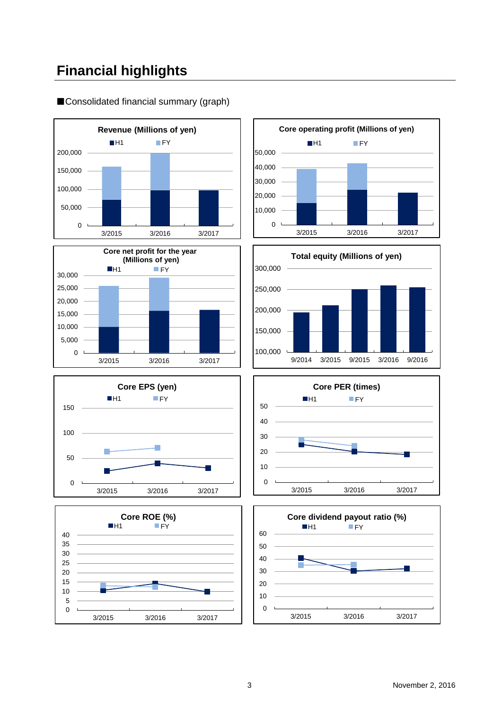# **Financial highlights**

■Consolidated financial summary (graph)















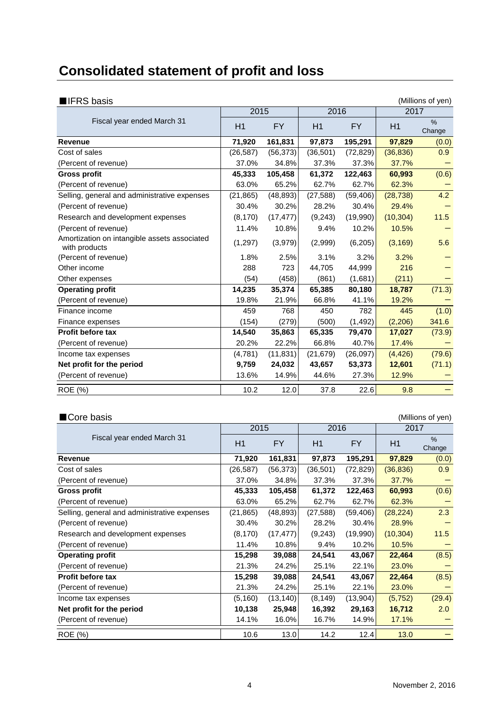# **Consolidated statement of profit and loss**

| $\blacksquare$ IFRS basis                                     |           |           |           |           |           | (Millions of yen)       |
|---------------------------------------------------------------|-----------|-----------|-----------|-----------|-----------|-------------------------|
|                                                               | 2015      |           | 2016      |           | 2017      |                         |
| Fiscal year ended March 31                                    | H1        | <b>FY</b> | H1        | <b>FY</b> | H1        | $\frac{1}{2}$<br>Change |
| <b>Revenue</b>                                                | 71,920    | 161,831   | 97,873    | 195,291   | 97,829    | (0.0)                   |
| Cost of sales                                                 | (26, 587) | (56, 373) | (36, 501) | (72, 829) | (36, 836) | 0.9                     |
| (Percent of revenue)                                          | 37.0%     | 34.8%     | 37.3%     | 37.3%     | 37.7%     |                         |
| <b>Gross profit</b>                                           | 45,333    | 105,458   | 61,372    | 122,463   | 60,993    | (0.6)                   |
| (Percent of revenue)                                          | 63.0%     | 65.2%     | 62.7%     | 62.7%     | 62.3%     |                         |
| Selling, general and administrative expenses                  | (21, 865) | (48, 893) | (27, 588) | (59, 406) | (28, 738) | 4.2                     |
| (Percent of revenue)                                          | 30.4%     | 30.2%     | 28.2%     | 30.4%     | 29.4%     |                         |
| Research and development expenses                             | (8, 170)  | (17, 477) | (9,243)   | (19,990)  | (10, 304) | 11.5                    |
| (Percent of revenue)                                          | 11.4%     | 10.8%     | 9.4%      | 10.2%     | 10.5%     |                         |
| Amortization on intangible assets associated<br>with products | (1,297)   | (3,979)   | (2,999)   | (6,205)   | (3, 169)  | 5.6                     |
| (Percent of revenue)                                          | 1.8%      | 2.5%      | 3.1%      | 3.2%      | 3.2%      |                         |
| Other income                                                  | 288       | 723       | 44,705    | 44,999    | 216       |                         |
| Other expenses                                                | (54)      | (458)     | (861)     | (1,681)   | (211)     |                         |
| <b>Operating profit</b>                                       | 14,235    | 35,374    | 65,385    | 80,180    | 18,787    | (71.3)                  |
| (Percent of revenue)                                          | 19.8%     | 21.9%     | 66.8%     | 41.1%     | 19.2%     |                         |
| Finance income                                                | 459       | 768       | 450       | 782       | 445       | (1.0)                   |
| Finance expenses                                              | (154)     | (279)     | (500)     | (1, 492)  | (2,206)   | 341.6                   |
| <b>Profit before tax</b>                                      | 14.540    | 35,863    | 65,335    | 79,470    | 17,027    | (73.9)                  |
| (Percent of revenue)                                          | 20.2%     | 22.2%     | 66.8%     | 40.7%     | 17.4%     |                         |
| Income tax expenses                                           | (4,781)   | (11, 831) | (21, 679) | (26, 097) | (4, 426)  | (79.6)                  |
| Net profit for the period                                     | 9,759     | 24,032    | 43,657    | 53,373    | 12,601    | (71.1)                  |
| (Percent of revenue)                                          | 13.6%     | 14.9%     | 44.6%     | 27.3%     | 12.9%     |                         |
| ROE (%)                                                       | 10.2      | 12.0      | 37.8      | 22.6      | 9.8       |                         |

| ■Core basis                                  |           |           |           |           |           | (Millions of yen) |  |
|----------------------------------------------|-----------|-----------|-----------|-----------|-----------|-------------------|--|
|                                              | 2015      |           | 2016      |           | 2017      |                   |  |
| Fiscal year ended March 31                   | H1        | <b>FY</b> | H1        | <b>FY</b> | H1        | $\%$<br>Change    |  |
| Revenue                                      | 71,920    | 161,831   | 97,873    | 195,291   | 97,829    | (0.0)             |  |
| Cost of sales                                | (26, 587) | (56, 373) | (36, 501) | (72, 829) | (36, 836) | 0.9               |  |
| (Percent of revenue)                         | 37.0%     | 34.8%     | 37.3%     | 37.3%     | 37.7%     |                   |  |
| <b>Gross profit</b>                          | 45,333    | 105,458   | 61,372    | 122,463   | 60,993    | (0.6)             |  |
| (Percent of revenue)                         | 63.0%     | 65.2%     | 62.7%     | 62.7%     | 62.3%     |                   |  |
| Selling, general and administrative expenses | (21, 865) | (48, 893) | (27, 588) | (59, 406) | (28, 224) | 2.3               |  |
| (Percent of revenue)                         | 30.4%     | 30.2%     | 28.2%     | 30.4%     | 28.9%     |                   |  |
| Research and development expenses            | (8, 170)  | (17, 477) | (9,243)   | (19,990)  | (10, 304) | 11.5              |  |
| (Percent of revenue)                         | 11.4%     | 10.8%     | 9.4%      | 10.2%     | 10.5%     |                   |  |
| <b>Operating profit</b>                      | 15,298    | 39,088    | 24,541    | 43,067    | 22,464    | (8.5)             |  |
| (Percent of revenue)                         | 21.3%     | 24.2%     | 25.1%     | 22.1%     | 23.0%     |                   |  |
| <b>Profit before tax</b>                     | 15,298    | 39,088    | 24,541    | 43,067    | 22,464    | (8.5)             |  |
| (Percent of revenue)                         | 21.3%     | 24.2%     | 25.1%     | 22.1%     | 23.0%     |                   |  |
| Income tax expenses                          | (5, 160)  | (13, 140) | (8, 149)  | (13,904)  | (5,752)   | (29.4)            |  |
| Net profit for the period                    | 10,138    | 25,948    | 16,392    | 29,163    | 16,712    | 2.0               |  |
| (Percent of revenue)                         | 14.1%     | 16.0%     | 16.7%     | 14.9%     | 17.1%     |                   |  |
| <b>ROE</b> (%)                               | 10.6      | 13.0      | 14.2      | 12.4      | 13.0      |                   |  |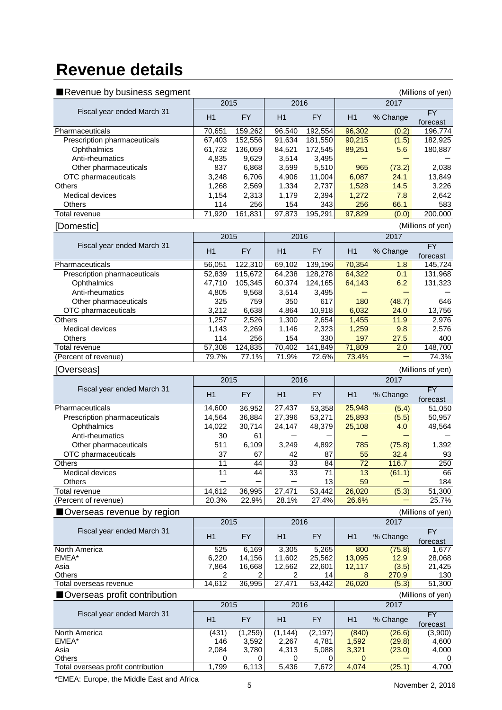# **Revenue details**

| Revenue by business segment   |                 |                 |               |                 | (Millions of yen) |               |                       |  |
|-------------------------------|-----------------|-----------------|---------------|-----------------|-------------------|---------------|-----------------------|--|
|                               | 2015            |                 | 2016          |                 |                   | 2017          |                       |  |
| Fiscal year ended March 31    | H1              | <b>FY</b>       | H1            | <b>FY</b>       | H1                | % Change      | FY<br>forecast        |  |
| Pharmaceuticals               | 70,651          | 159,262         | 96,540        | 192,554         | 96,302            | (0.2)         | 196,774               |  |
| Prescription pharmaceuticals  | 67,403          | 152,556         | 91,634        | 181,550         | 90,215            | (1.5)         | 182,925               |  |
| Ophthalmics                   | 61,732          | 136,059         | 84,521        | 172,545         | 89,251            | 5.6           | 180,887               |  |
| Anti-rheumatics               | 4,835           | 9,629           | 3,514         | 3,495           |                   |               |                       |  |
| Other pharmaceuticals         | 837             | 6,868           | 3,599         | 5,510           | 965               | (73.2)        | 2,038                 |  |
|                               | 3,248           |                 | 4,906         |                 | 6,087             | 24.1          | 13,849                |  |
| OTC pharmaceuticals           |                 | 6,706           |               | 11,004          |                   |               |                       |  |
| Others                        | 1,268           | 2,569           | 1,334         | 2,737           | 1,528             | 14.5          | 3,226                 |  |
| Medical devices               | 1,154           | 2,313           | 1,179         | 2,394           | 1,272             | 7.8           | 2,642                 |  |
| Others<br>Total revenue       | 114<br>71,920   | 256<br>161,831  | 154<br>97,873 | 343<br>195,291  | 256<br>97,829     | 66.1<br>(0.0) | 583<br>200,000        |  |
| [Domestic]                    |                 |                 |               |                 |                   |               | (Millions of yen)     |  |
|                               | 2015            |                 | 2016          |                 |                   | 2017          |                       |  |
| Fiscal year ended March 31    |                 |                 |               |                 |                   |               | FY                    |  |
|                               | H1              | <b>FY</b>       | H1            | <b>FY</b>       | H1                | % Change      | forecast              |  |
| Pharmaceuticals               | 56,051          | 122,310         | 69,102        | 139,196         | 70,354            | 1.8           | 145,724               |  |
| Prescription pharmaceuticals  | 52,839          | 115,672         | 64,238        | 128,278         | 64,322            | 0.1           | 131,968               |  |
| Ophthalmics                   | 47,710          | 105,345         | 60,374        | 124,165         | 64,143            | 6.2           | 131,323               |  |
| Anti-rheumatics               | 4,805           | 9,568           | 3,514         | 3,495           |                   |               |                       |  |
| Other pharmaceuticals         | 325             | 759             | 350           | 617             | 180               | (48.7)        | 646                   |  |
| OTC pharmaceuticals           | 3,212           | 6,638           | 4,864         | 10,918          | 6,032             | 24.0          | 13,756                |  |
| Others                        | 1,257           | 2,526           | 1,300         | 2,654           | 1,455             | 11.9          | 2,976                 |  |
| Medical devices               | 1,143           | 2,269           | 1,146         | 2,323           | 1,259             | 9.8           | 2,576                 |  |
|                               |                 |                 |               |                 |                   |               |                       |  |
| Others                        | 114             | 256             | 154           | 330             | 197               | 27.5          | 400                   |  |
| Total revenue                 | 57,308          | 124,835         | 70,402        | 141,849         | 71,809            | 2.0           | 148,700               |  |
| (Percent of revenue)          | 79.7%           | 77.1%           | 71.9%         | 72.6%           | 73.4%             |               | 74.3%                 |  |
| [Overseas]                    |                 |                 |               |                 |                   |               | (Millions of yen)     |  |
|                               | 2015            |                 | 2016          |                 |                   | 2017          |                       |  |
| Fiscal year ended March 31    | H1              | <b>FY</b>       | H1            | <b>FY</b>       | H1                | % Change      | <b>FY</b><br>forecast |  |
| Pharmaceuticals               | 14,600          | 36,952          | 27,437        | 53,358          | 25,948            | (5.4)         | 51,050                |  |
| Prescription pharmaceuticals  | 14,564          | 36,884          | 27,396        | 53,271          | 25,893            | (5.5)         | 50,957                |  |
| Ophthalmics                   | 14,022          | 30,714          | 24,147        | 48,379          | 25,108            | 4.0           | 49,564                |  |
| Anti-rheumatics               | 30              | 61              |               |                 |                   |               |                       |  |
| Other pharmaceuticals         | 511             | 6,109           | 3,249         | 4,892           | 785               | (75.8)        | 1,392                 |  |
| OTC pharmaceuticals           | 37              | 67              | 42            | 87              | 55                | 32.4          | 93                    |  |
| Others                        | $\overline{11}$ | $\overline{44}$ | 33            | $\overline{84}$ | $\overline{72}$   | 116.7         | 250                   |  |
| Medical devices               | 11              | 44              | 33            | 71              | 13                | (61.1)        | 66                    |  |
| Others                        |                 |                 |               | 13              | 59                |               | 184                   |  |
| <b>Total revenue</b>          | 14,612          | 36,995          | 27,471        | 53,442          | 26,020            | (5.3)         | 51,300                |  |
| (Percent of revenue)          | 20.3%           | 22.9%           |               |                 |                   |               | 25.7%                 |  |
| Overseas revenue by region    |                 |                 | 28.1%         | 27.4%           | 26.6%             |               |                       |  |
|                               |                 |                 |               |                 |                   |               |                       |  |
|                               | 2015            |                 | 2016          |                 |                   | 2017          | (Millions of yen)     |  |
| Fiscal year ended March 31    |                 |                 |               |                 |                   |               | <b>FY</b>             |  |
|                               | H1              | <b>FY</b>       | H1            | <b>FY</b>       | H1                | % Change      | forecast              |  |
| North America                 | 525             | 6,169           | 3,305         | 5,265           | 800               | (75.8)        | 1,677                 |  |
| EMEA*                         | 6,220           | 14,156          | 11,602        | 25,562          | 13,095            | 12.9          | 28,068                |  |
| Asia                          | 7,864           | 16,668          | 12,562        | 22,601          | 12,117            | (3.5)         | 21,425                |  |
| Others                        | 2               | 2               | 2             | 14              | 8                 | 270.9         | 130                   |  |
| Total overseas revenue        | 14,612          | 36,995          | 27,471        | 53,442          | 26,020            | (5.3)         | 51,300                |  |
| ■Overseas profit contribution |                 |                 |               |                 |                   |               | (Millions of yen)     |  |
|                               | 2015            |                 | 2016          |                 |                   | 2017          |                       |  |
| Fiscal year ended March 31    | H1              | <b>FY</b>       | H1            | <b>FY</b>       | H1                | % Change      | FY                    |  |
| North America                 | (431)           | (1, 259)        | (1, 144)      | (2, 197)        | (840)             | (26.6)        | forecast<br>(3,900)   |  |
| EMEA*                         | 146             | 3,592           | 2,267         | 4,781           | 1,592             | (29.8)        | 4,600                 |  |
| Asia                          | 2,084           | 3,780           | 4,313         | 5,088           | 3,321             | (23.0)        | 4,000                 |  |
| Others                        | 0<br>1,799      | 0<br>6,113      | 0<br>5,436    | 0<br>7,672      | 0<br>4,074        | (25.1)        | 0<br>4,700            |  |

\*EMEA: Europe, the Middle East and Africa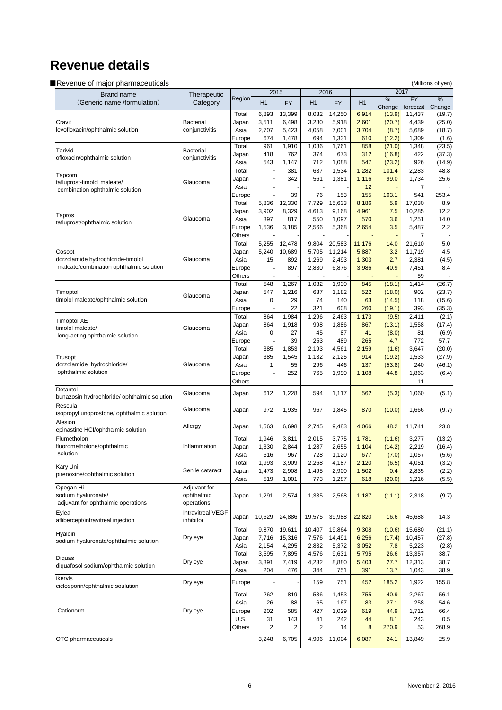# **Revenue details**

| <b>Brand name</b>                                         | Therapeutic                    |                  |                      | 2015           |                             | 2016           |              |                         | 2017                  |                         |
|-----------------------------------------------------------|--------------------------------|------------------|----------------------|----------------|-----------------------------|----------------|--------------|-------------------------|-----------------------|-------------------------|
| (Generic name /formulation)                               | Category                       | Region           | H1                   | <b>FY</b>      | H1                          | <b>FY</b>      | H1           | $\frac{9}{6}$<br>Change | <b>FY</b><br>forecast | $\frac{9}{6}$<br>Change |
|                                                           |                                | Total            | 6,893                | 13,399         | 8,032                       | 14,250         | 6,914        | (13.9)                  | 11,437                | (19.7)                  |
| Cravit                                                    | <b>Bacterial</b>               | Japan            | 3,511                | 6,498          | 3,280                       | 5,918          | 2,601        | (20.7)                  | 4,439                 | (25.0)                  |
| levofloxacin/ophthalmic solution                          | conjunctivitis                 | Asia             | 2,707                | 5,423          | 4,058                       | 7,001          | 3,704        | (8.7)                   | 5,689                 | (18.7)                  |
|                                                           |                                | Europe<br>Total  | 674<br>961           | 1,478<br>1,910 | 694<br>1,086                | 1,331<br>1,761 | 610<br>858   | (12.2)                  | 1,309<br>1,348        | (1.6)<br>(23.5)         |
| Tarivid                                                   | <b>Bacterial</b>               | Japan            | 418                  | 762            | 374                         | 673            | 312          | (21.0)<br>(16.8)        | 422                   | (37.3)                  |
| ofloxacin/ophthalmic solution                             | conjunctivitis                 | Asia             | 543                  | 1,147          | 712                         | 1,088          | 547          | (23.2)                  | 926                   | (14.9)                  |
|                                                           |                                | Total            |                      | 381            | 637                         | 1,534          | 1,282        | 101.4                   | 2,283                 | 48.8                    |
| Tapcom<br>tafluprost-timolol maleate/                     | Glaucoma                       | Japan            |                      | 342            | 561                         | 1,381          | 1,116        | 99.0                    | 1,734                 | 25.6                    |
| combination ophthalmic solution                           |                                | Asia             |                      |                |                             |                | 12           | $\blacksquare$          | 7                     |                         |
|                                                           |                                | Europe           |                      | 39             | 76                          | 153            | 155          | 103.1                   | 541                   | 253.4                   |
|                                                           |                                | Total            | 5,836                | 12,330         | 7,729                       | 15,633         | 8,186        | 5.9                     | 17,030                | 8.9                     |
| Tapros                                                    | Glaucoma                       | Japan            | 3,902                | 8,329          | 4,613                       | 9,168          | 4,961        | 7.5                     | 10,285                | 12.2                    |
| tafluprost/ophthalmic solution                            |                                | Asia<br>Europe   | 397<br>1,536         | 817<br>3,185   | 550<br>2,566                | 1,097<br>5,368 | 570<br>2,654 | 3.6<br>3.5              | 1,251<br>5,487        | 14.0<br>2.2             |
|                                                           |                                | Others           |                      |                |                             |                |              |                         | 7                     |                         |
|                                                           |                                | Total            | 5,255                | 12,478         | 9,804                       | 20,583         | 11,176       | 14.0                    | 21,610                | 5.0                     |
| Cosopt                                                    |                                | Japan            | 5,240                | 10,689         | 5,705                       | 11,214         | 5,887        | 3.2                     | 11,719                | 4.5                     |
| dorzolamide hydrochloride-timolol                         | Glaucoma                       | Asia             | 15                   | 892            | 1,269                       | 2,493          | 1,303        | 2.7                     | 2,381                 | (4.5)                   |
| maleate/combination ophthalmic solution                   |                                | Europe           |                      | 897            | 2,830                       | 6,876          | 3,986        | 40.9                    | 7,451                 | 8.4                     |
|                                                           |                                | Others           |                      |                |                             |                |              |                         | 59                    |                         |
|                                                           |                                | Total            | 548                  | 1,267          | 1,032                       | 1,930          | 845          | (18.1)                  | 1,414                 | (26.7)                  |
| Timoptol<br>timolol maleate/ophthalmic solution           | Glaucoma                       | Japan<br>Asia    | 547<br>0             | 1,216<br>29    | 637<br>74                   | 1,182<br>140   | 522<br>63    | (18.0)<br>(14.5)        | 902<br>118            | (23.7)<br>(15.6)        |
|                                                           |                                | Europe           |                      | 22             | 321                         | 608            | 260          | (19.1)                  | 393                   | (35.3)                  |
|                                                           |                                | Total            | 864                  | 1,984          | 1,296                       | 2,463          | 1,173        | (9.5)                   | 2,411                 | (2.1)                   |
| <b>Timoptol XE</b>                                        |                                | Japan            | 864                  | 1,918          | 998                         | 1,886          | 867          | (13.1)                  | 1,558                 | (17.4)                  |
| timolol maleate/<br>long-acting ophthalmic solution       | Glaucoma                       | Asia             | 0                    | 27             | 45                          | 87             | 41           | (8.0)                   | 81                    | (6.9)                   |
|                                                           |                                | Europe           | J.                   | 39             | 253                         | 489            | 265          | 4.7                     | 772                   | 57.7                    |
|                                                           |                                | Total            | 385                  | 1,853          | 2,193                       | 4,561          | 2,159        | (1.6)                   | 3,647                 | (20.0)                  |
| Trusopt                                                   |                                | Japan            | 385                  | 1,545          | 1,132                       | 2,125          | 914          | (19.2)                  | 1,533                 | (27.9)                  |
| dorzolamide hydrochloride/<br>ophthalmic solution         | Glaucoma                       | Asia             | $\mathbf{1}$         | 55             | 296                         | 446            | 137          | (53.8)                  | 240                   | (46.1)                  |
|                                                           |                                | Europe<br>Others | $\ddot{\phantom{1}}$ | 252            | 765<br>$\ddot{\phantom{1}}$ | 1,990          | 1,108        | 44.8<br>$\sim$          | 1,863<br>11           | (6.4)                   |
| Detantol                                                  |                                |                  |                      |                |                             |                |              |                         |                       |                         |
| bunazosin hydrochloride/ ophthalmic solution              | Glaucoma                       | Japan            | 612                  | 1,228          | 594                         | 1,117          | 562          | (5.3)                   | 1,060                 | (5.1)                   |
| Rescula                                                   | Glaucoma                       |                  |                      |                |                             |                |              |                         |                       |                         |
| isopropyl unoprostone/ ophthalmic solution                |                                | Japan            | 972                  | 1,935          | 967                         | 1,845          | 870          | (10.0)                  | 1,666                 | (9.7)                   |
| Alesion<br>epinastine HCI/ophthalmic solution             | Allergy                        | Japan            | 1,563                | 6,698          | 2,745                       | 9,483          | 4,066        | 48.2                    | 11,741                | 23.8                    |
| Flumetholon                                               |                                | Total            | 1,946                | 3,811          | 2,015                       | 3,775          | 1,781        | (11.6)                  | 3,277                 | (13.2)                  |
| fluorometholone/ophthalmic                                | Inflammation                   | Japan            | 1,330                | 2,844          | 1,287                       | 2,655          | 1,104        | (14.2)                  | 2,219                 | (16.4)                  |
| solution                                                  |                                | Asia             | 616                  | 967            | 728                         | 1,120          | 677          | (7.0)                   | 1,057                 | (5.6)                   |
|                                                           |                                | Total            | 1,993                | 3,909          | 2,268                       | 4,187          | 2,120        | (6.5)                   | 4,051                 | (3.2)                   |
| Kary Uni<br>pirenoxine/ophthalmic solution                | Senile cataract                | Japan            | 1,473                | 2,908          | 1,495                       | 2,900          | 1,502        | 0.4                     | 2,835                 | (2.2)                   |
|                                                           |                                | Asia             | 519                  | 1,001          | 773                         | 1,287          | 618          | (20.0)                  | 1,216                 | (5.5)                   |
| Opegan Hi                                                 | Adjuvant for                   |                  |                      |                |                             |                |              |                         |                       |                         |
| sodium hyaluronate/<br>adjuvant for ophthalmic operations | ophthalmic<br>operations       | Japan            | 1,291                | 2,574          | 1,335                       | 2,568          | 1,187        | (11.1)                  | 2,318                 | (9.7)                   |
|                                                           |                                |                  |                      |                |                             |                |              |                         |                       |                         |
| Eylea<br>aflibercept/intravitreal injection               | Intravitreal VEGF<br>inhibitor | Japan            | 10,629               | 24,886         | 19,575                      | 39,988         | 22,820       | 16.6                    | 45,688                | 14.3                    |
|                                                           |                                | Total            | 9,870                | 19,611         | 10,407                      | 19,864         | 9,308        | (10.6)                  | 15,680                | (21.1)                  |
| Hyalein                                                   | Dry eye                        | Japan            | 7,716                | 15,316         | 7,576                       | 14,491         | 6,256        | (17.4)                  | 10,457                | (27.8)                  |
| sodium hyaluronate/ophthalmic solution                    |                                | Asia             | 2,154                | 4,295          | 2,832                       | 5,372          | 3,052        | 7.8                     | 5,223                 | (2.8)                   |
|                                                           |                                | Total            | 3,595                | 7,895          | 4,576                       | 9,631          | 5,795        | 26.6                    | 13,357                | 38.7                    |
| Diquas<br>diquafosol sodium/ophthalmic solution           | Dry eye                        | Japan            | 3,391                | 7,419          | 4,232                       | 8,880          | 5,403        | 27.7                    | 12,313                | 38.7                    |
|                                                           |                                | Asia             | 204                  | 476            | 344                         | 751            | 391          | 13.7                    | 1,043                 | 38.9                    |
| Ikervis<br>ciclosporin/ophthalmic soulution               | Dry eye                        | Europe           | i,                   |                | 159                         | 751            | 452          | 185.2                   | 1,922                 | 155.8                   |
|                                                           |                                | Total            | 262                  | 819            | 536                         | 1,453          | 755          | 40.9                    | 2,267                 | 56.1                    |
|                                                           |                                | Asia             | 26                   | 88             | 65                          | 167            | 83           | 27.1                    | 258                   | 54.6                    |
| Cationorm                                                 | Dry eye                        | Europe           | 202                  | 585            | 427                         | 1,029          | 619          | 44.9                    | 1,712                 | 66.4                    |
|                                                           |                                | U.S.             | 31                   | 143            | 41                          | 242            | 44           | 8.1                     | 243                   | 0.5                     |
|                                                           |                                | Others           | $\overline{2}$       | 2              | 2                           | 14             | 8            | 270.9                   | 53                    | 268.9                   |
| OTC pharmaceuticals                                       |                                |                  | 3,248                | 6,705          | 4,906                       | 11,004         | 6,087        | 24.1                    | 13,849                | 25.9                    |
|                                                           |                                |                  |                      |                |                             |                |              |                         |                       |                         |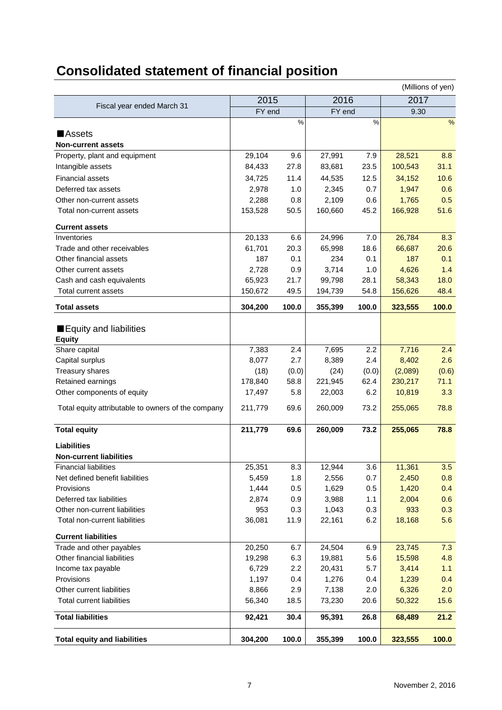# **Consolidated statement of financial position**

| (Millions of yen)                                  |         |               |         |               |         |       |
|----------------------------------------------------|---------|---------------|---------|---------------|---------|-------|
|                                                    | 2015    |               | 2016    |               | 2017    |       |
| Fiscal year ended March 31                         | FY end  |               | FY end  |               | 9.30    |       |
|                                                    |         | $\frac{0}{0}$ |         | $\frac{0}{0}$ |         | %     |
| <b>Assets</b>                                      |         |               |         |               |         |       |
| <b>Non-current assets</b>                          |         |               |         |               |         |       |
| Property, plant and equipment                      | 29,104  | 9.6           | 27,991  | 7.9           | 28,521  | 8.8   |
| Intangible assets                                  | 84,433  | 27.8          | 83,681  | 23.5          | 100,543 | 31.1  |
| <b>Financial assets</b>                            | 34,725  | 11.4          | 44,535  | 12.5          | 34,152  | 10.6  |
| Deferred tax assets                                | 2,978   | 1.0           | 2,345   | 0.7           | 1,947   | 0.6   |
| Other non-current assets                           | 2,288   | 0.8           | 2,109   | 0.6           | 1,765   | 0.5   |
| Total non-current assets                           | 153,528 | 50.5          | 160,660 | 45.2          | 166,928 | 51.6  |
|                                                    |         |               |         |               |         |       |
| <b>Current assets</b>                              |         |               |         |               |         |       |
| Inventories                                        | 20,133  | 6.6           | 24,996  | 7.0           | 26,784  | 8.3   |
| Trade and other receivables                        | 61,701  | 20.3          | 65,998  | 18.6          | 66,687  | 20.6  |
| Other financial assets                             | 187     | 0.1           | 234     | 0.1           | 187     | 0.1   |
| Other current assets                               | 2,728   | 0.9           | 3,714   | 1.0           | 4,626   | 1.4   |
| Cash and cash equivalents                          | 65,923  | 21.7          | 99,798  | 28.1          | 58,343  | 18.0  |
| <b>Total current assets</b>                        | 150,672 | 49.5          | 194,739 | 54.8          | 156,626 | 48.4  |
| <b>Total assets</b>                                | 304,200 | 100.0         | 355,399 | 100.0         | 323,555 | 100.0 |
| Equity and liabilities<br><b>Equity</b>            |         |               |         |               |         |       |
| Share capital                                      | 7,383   | 2.4           | 7,695   | 2.2           | 7,716   | 2.4   |
| Capital surplus                                    | 8,077   | 2.7           | 8,389   | 2.4           | 8,402   | 2.6   |
| <b>Treasury shares</b>                             | (18)    | (0.0)         | (24)    | (0.0)         | (2,089) | (0.6) |
| Retained earnings                                  | 178,840 | 58.8          | 221,945 | 62.4          | 230,217 | 71.1  |
| Other components of equity                         | 17,497  | 5.8           | 22,003  | 6.2           | 10,819  | 3.3   |
| Total equity attributable to owners of the company | 211,779 | 69.6          | 260,009 | 73.2          | 255,065 | 78.8  |
| <b>Total equity</b>                                | 211,779 | 69.6          | 260,009 | 73.2          | 255,065 | 78.8  |
| Liabilities                                        |         |               |         |               |         |       |
| <b>Non-current liabilities</b>                     |         |               |         |               |         |       |
| <b>Financial liabilities</b>                       | 25,351  | 8.3           | 12,944  | 3.6           | 11,361  | 3.5   |
| Net defined benefit liabilities                    | 5,459   | 1.8           | 2,556   | 0.7           | 2,450   | 0.8   |
| Provisions                                         | 1,444   | 0.5           | 1,629   | 0.5           | 1,420   | 0.4   |
| Deferred tax liabilities                           | 2,874   | 0.9           | 3,988   | 1.1           | 2,004   | 0.6   |
| Other non-current liabilities                      | 953     | 0.3           | 1,043   | 0.3           | 933     | 0.3   |
| Total non-current liabilities                      | 36,081  | 11.9          | 22,161  | 6.2           | 18,168  | 5.6   |
| <b>Current liabilities</b>                         |         |               |         |               |         |       |
| Trade and other payables                           | 20,250  | 6.7           | 24,504  | 6.9           | 23,745  | 7.3   |
| Other financial liabilities                        | 19,298  | 6.3           | 19,881  | 5.6           | 15,598  | 4.8   |
| Income tax payable                                 | 6,729   | 2.2           | 20,431  | 5.7           | 3,414   | 1.1   |
| Provisions                                         | 1,197   | 0.4           | 1,276   | 0.4           | 1,239   | 0.4   |
| Other current liabilities                          | 8,866   | 2.9           | 7,138   | 2.0           | 6,326   | 2.0   |
| <b>Total current liabilities</b>                   | 56,340  | 18.5          | 73,230  | 20.6          | 50,322  | 15.6  |
| <b>Total liabilities</b>                           | 92,421  | 30.4          | 95,391  | 26.8          | 68,489  | 21.2  |
|                                                    |         |               |         |               |         |       |
| <b>Total equity and liabilities</b>                | 304,200 | 100.0         | 355,399 | 100.0         | 323,555 | 100.0 |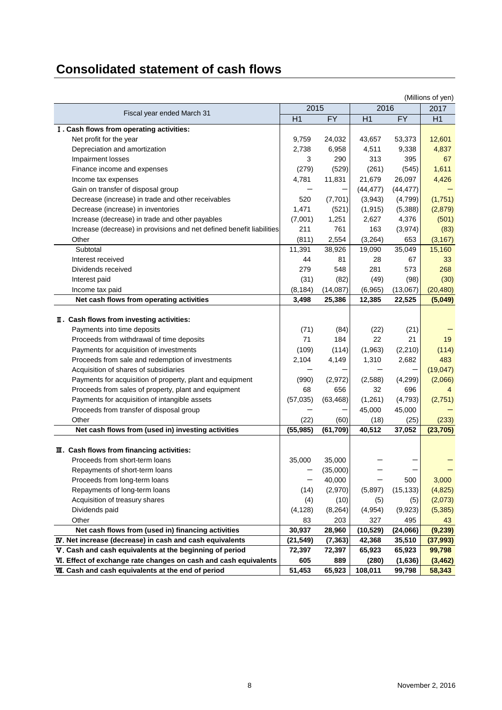# **Consolidated statement of cash flows**

|                                                                       |           |           |           |           | (Millions of yen) |
|-----------------------------------------------------------------------|-----------|-----------|-----------|-----------|-------------------|
| Fiscal year ended March 31                                            | 2015      |           | 2016      |           | 2017              |
|                                                                       | H1        | <b>FY</b> | H1        | <b>FY</b> | H1                |
| I. Cash flows from operating activities:                              |           |           |           |           |                   |
| Net profit for the year                                               | 9,759     | 24,032    | 43,657    | 53,373    | 12,601            |
| Depreciation and amortization                                         | 2,738     | 6,958     | 4,511     | 9,338     | 4,837             |
| Impairment losses                                                     | 3         | 290       | 313       | 395       | 67                |
| Finance income and expenses                                           | (279)     | (529)     | (261)     | (545)     | 1,611             |
| Income tax expenses                                                   | 4,781     | 11,831    | 21,679    | 26,097    | 4,426             |
| Gain on transfer of disposal group                                    |           |           | (44, 477) | (44, 477) |                   |
| Decrease (increase) in trade and other receivables                    | 520       | (7,701)   | (3,943)   | (4,799)   | (1,751)           |
| Decrease (increase) in inventories                                    | 1,471     | (521)     | (1, 915)  | (5,388)   | (2,879)           |
| Increase (decrease) in trade and other payables                       | (7,001)   | 1,251     | 2,627     | 4,376     | (501)             |
| Increase (decrease) in provisions and net defined benefit liabilities | 211       | 761       | 163       | (3,974)   | (83)              |
| Other                                                                 | (811)     | 2,554     | (3,264)   | 653       | (3, 167)          |
| Subtotal                                                              | 11,391    | 38,926    | 19,090    | 35,049    | 15,160            |
| Interest received                                                     | 44        | 81        | 28        | 67        | 33                |
| Dividends received                                                    | 279       | 548       | 281       | 573       | 268               |
| Interest paid                                                         | (31)      | (82)      | (49)      | (98)      | (30)              |
| Income tax paid                                                       | (8, 184)  | (14,087)  | (6,965)   | (13,067)  | (20, 480)         |
| Net cash flows from operating activities                              | 3,498     | 25,386    | 12,385    | 22,525    | (5,049)           |
|                                                                       |           |           |           |           |                   |
| II. Cash flows from investing activities:                             |           |           |           |           |                   |
| Payments into time deposits                                           | (71)      | (84)      | (22)      | (21)      |                   |
| Proceeds from withdrawal of time deposits                             | 71        | 184       | 22        | 21        | 19                |
| Payments for acquisition of investments                               | (109)     | (114)     | (1,963)   | (2, 210)  | (114)             |
| Proceeds from sale and redemption of investments                      | 2,104     | 4,149     | 1,310     | 2,682     | 483               |
| Acquisition of shares of subsidiaries                                 |           |           |           |           | (19, 047)         |
| Payments for acquisition of property, plant and equipment             | (990)     | (2,972)   | (2,588)   | (4, 299)  | (2,066)           |
| Proceeds from sales of property, plant and equipment                  | 68        | 656       | 32        | 696       |                   |
| Payments for acquisition of intangible assets                         | (57, 035) | (63, 468) | (1,261)   | (4, 793)  | (2,751)           |
| Proceeds from transfer of disposal group                              |           |           | 45,000    | 45,000    |                   |
| Other                                                                 | (22)      | (60)      | (18)      | (25)      | (233)             |
| Net cash flows from (used in) investing activities                    | (55, 985) | (61, 709) | 40,512    | 37,052    | (23, 705)         |
|                                                                       |           |           |           |           |                   |
| III. Cash flows from financing activities:                            |           |           |           |           |                   |
| Proceeds from short-term loans                                        | 35,000    | 35,000    |           |           |                   |
| Repayments of short-term loans                                        |           | (35,000)  |           |           |                   |
| Proceeds from long-term loans                                         |           | 40,000    |           | 500       | 3,000             |
| Repayments of long-term loans                                         | (14)      | (2,970)   | (5,897)   | (15, 133) | (4,825)           |
| Acquisition of treasury shares                                        | (4)       | (10)      | (5)       | (5)       | (2,073)           |
| Dividends paid                                                        | (4, 128)  | (8, 264)  | (4,954)   | (9,923)   | (5, 385)          |
| Other                                                                 | 83        | 203       | 327       | 495       | 43                |
| Net cash flows from (used in) financing activities                    | 30,937    | 28,960    | (10, 529) | (24,066)  | (9, 239)          |
| IV. Net increase (decrease) in cash and cash equivalents              | (21,549)  | (7, 363)  | 42,368    | 35,510    | (37, 993)         |
| V. Cash and cash equivalents at the beginning of period               | 72,397    | 72,397    | 65,923    | 65,923    | 99,798            |
| VI. Effect of exchange rate changes on cash and cash equivalents      | 605       | 889       | (280)     | (1,636)   | (3, 462)          |
| <b>WI.</b> Cash and cash equivalents at the end of period             | 51,453    | 65,923    | 108,011   | 99,798    | 58,343            |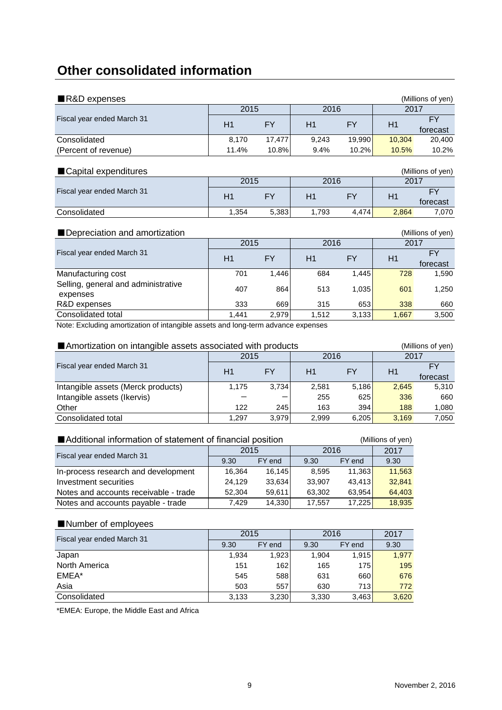# **Other consolidated information**

| $\blacksquare$ R&D expenses                                                      |       |           |       |           |        | (Millions of yen)     |  |  |  |
|----------------------------------------------------------------------------------|-------|-----------|-------|-----------|--------|-----------------------|--|--|--|
|                                                                                  | 2015  |           | 2016  |           | 2017   |                       |  |  |  |
| Fiscal year ended March 31                                                       | H1    | <b>FY</b> | H1    | FY.       | H1     | <b>FY</b><br>forecast |  |  |  |
| Consolidated                                                                     | 8,170 | 17,477    | 9,243 | 19,990    | 10,304 | 20,400                |  |  |  |
| (Percent of revenue)                                                             | 11.4% | 10.8%     | 9.4%  | 10.2%     | 10.5%  | 10.2%                 |  |  |  |
| ■ Capital expenditures                                                           |       |           |       |           |        |                       |  |  |  |
|                                                                                  | 2015  |           | 2016  |           | 2017   |                       |  |  |  |
| Fiscal year ended March 31                                                       | H1    | <b>FY</b> | H1    | FY.       | H1     | <b>FY</b><br>forecast |  |  |  |
| Consolidated                                                                     | 1,354 | 5,383     | 1,793 | 4,474     | 2,864  | 7,070                 |  |  |  |
| Depreciation and amortization                                                    |       |           |       |           |        | (Millions of yen)     |  |  |  |
|                                                                                  | 2015  |           | 2016  |           | 2017   |                       |  |  |  |
| Fiscal year ended March 31                                                       | H1    | <b>FY</b> | H1    | <b>FY</b> | H1     | <b>FY</b><br>forecast |  |  |  |
| Manufacturing cost                                                               | 701   | 1,446     | 684   | 1,445     | 728    | 1,590                 |  |  |  |
| Selling, general and administrative<br>expenses                                  | 407   | 864       | 513   | 1,035     | 601    | 1,250                 |  |  |  |
| R&D expenses                                                                     | 333   | 669       | 315   | 653       | 338    | 660                   |  |  |  |
| Consolidated total                                                               | 1,441 | 2,979     | 1,512 | 3,133     | 1,667  | 3,500                 |  |  |  |
| Note: Excluding amortization of intangible assets and long-term advance expenses |       |           |       |           |        |                       |  |  |  |

■Amortization on intangible assets associated with products (Millions of yen)<br>2015 - 2016 2017 H1 FY H1 FY H1 FY forecast Intangible assets (Merck products) 1,175 3,734 2,581 5,186 2,645 5,310 Intangible assets (Ikervis)  $\begin{vmatrix} - & - & - \end{vmatrix}$  255 625 336 660 Other 122 245 163 394 188 1,080 Consolidated total 1,297 3,979 2,999 6,205 3,169 7,050 Fiscal year ended March 31 2016

## ■Additional information of statement of financial position (Millions of yen)

| Fiscal year ended March 31            | 2015   |        | 2016   |        | 2017   |
|---------------------------------------|--------|--------|--------|--------|--------|
|                                       | 9.30   | FY end | 9.30   | FY end | 9.30   |
| In-process research and development   | 16,364 | 16.145 | 8.595  | 11,363 | 11.563 |
| Investment securities                 | 24.129 | 33,634 | 33.907 | 43.413 | 32.841 |
| Notes and accounts receivable - trade | 52.304 | 59.611 | 63.302 | 63.954 | 64,403 |
| Notes and accounts payable - trade    | 7.429  | 14,330 | 17.557 | 17.225 | 18,935 |

## ■Number of employees

| Fiscal year ended March 31 | 2015  |        | 2016  | 2017   |       |
|----------------------------|-------|--------|-------|--------|-------|
|                            | 9.30  | FY end | 9.30  | FY end | 9.30  |
| Japan                      | 1,934 | 1,923  | 1.904 | 1.915  | 1,977 |
| North America              | 151   | 162    | 165   | 175    | 195   |
| EMEA*                      | 545   | 588    | 631   | 660    | 676   |
| Asia                       | 503   | 557    | 630   | 713    | 772   |
| Consolidated               | 3,133 | 3,230  | 3,330 | 3,463  | 3,620 |

\*EMEA: Europe, the Middle East and Africa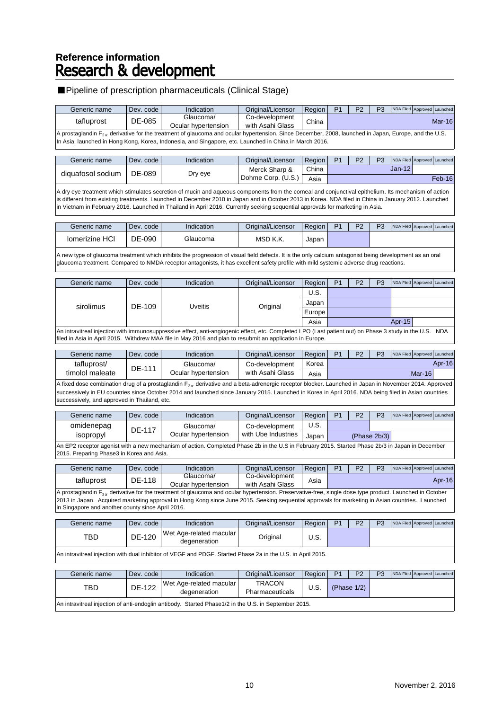# Reference information<br>**Research & development**

## ■ Pipeline of prescription pharmaceuticals (Clinical Stage)

| Generic name                                                                                                                                                  | Dev. code | Indication                       | Original/Licensor                  | <b>Region</b> |  | P <sub>2</sub> | P <sub>3</sub> | NDA Filed Approved Launched |  |        |
|---------------------------------------------------------------------------------------------------------------------------------------------------------------|-----------|----------------------------------|------------------------------------|---------------|--|----------------|----------------|-----------------------------|--|--------|
| tafluprost                                                                                                                                                    | DE-085    | Glaucoma/<br>Ocular hypertension | Co-development<br>with Asahi Glass | China         |  |                |                |                             |  | Mar-16 |
| A prostaglandin $F_{2\alpha}$ derivative for the treatment of glaucoma and ocular hypertension. Since December, 2008, launched in Japan, Europe, and the U.S. |           |                                  |                                    |               |  |                |                |                             |  |        |

In Asia, launched in Hong Kong, Korea, Indonesia, and Singapore, etc. Launched in China in March 2016.

| Generic name      | Dev. code | Indication | Original/Licensor  | Region | D <sub>4</sub> | D <sub>2</sub> | P <sub>3</sub> |        | NDA Filed Approved Launched |
|-------------------|-----------|------------|--------------------|--------|----------------|----------------|----------------|--------|-----------------------------|
| diguafosol sodium | DE-089    |            | Merck Sharp &      | China  |                |                |                | Jan-12 |                             |
|                   |           | Dry eye    | Dohme Corp. (U.S.) | Asia   |                |                |                |        | Feb-16                      |

A dry eye treatment which stimulates secretion of mucin and aqueous components from the corneal and conjunctival epithelium. Its mechanism of action is different from existing treatments. Launched in December 2010 in Japan and in October 2013 in Korea. NDA filed in China in January 2012. Launched in Vietnam in February 2016. Launched in Thailand in April 2016. Currently seeking sequential approvals for marketing in Asia.

| Generic name          | Dev. code | Indication | Original/Licensor | Region | D4 | פם | D <sub>3</sub> | NDA Filed Approved Launched |  |
|-----------------------|-----------|------------|-------------------|--------|----|----|----------------|-----------------------------|--|
| <b>Iomerizine HCI</b> | DE-090    | Glaucoma   | MSD K.K.          | Japan  |    |    |                |                             |  |

A new type of glaucoma treatment which inhibits the progression of visual field defects. It is the only calcium antagonist being development as an oral glaucoma treatment. Compared to NMDA receptor antagonists, it has excellent safety profile with mild systemic adverse drug reactions.

| Generic name | Dev. code | Indication                                                                                                                                              | Original/Licensor | Region | P <sub>1</sub> | P <sub>2</sub> | P <sub>3</sub> |           | NDA Filed Approved Launched |  |
|--------------|-----------|---------------------------------------------------------------------------------------------------------------------------------------------------------|-------------------|--------|----------------|----------------|----------------|-----------|-----------------------------|--|
|              |           |                                                                                                                                                         |                   | U.S.   |                |                |                |           |                             |  |
| sirolimus    | DF-109    | Uveitis                                                                                                                                                 | Original          | Japan  |                |                |                |           |                             |  |
|              |           |                                                                                                                                                         |                   | Europe |                |                |                |           |                             |  |
|              |           |                                                                                                                                                         |                   | Asia   |                |                |                | Apr- $15$ |                             |  |
|              |           | An intravitreal injection with immunosuppressive effect, anti-angiogenic effect, etc. Completed LPO (Last patient out) on Phase 3 study in the U.S. NDA |                   |        |                |                |                |           |                             |  |
|              |           | filed in Asia in April 2015. Withdrew MAA file in May 2016 and plan to resubmit an application in Europe.                                               |                   |        |                |                |                |           |                             |  |

| Generic name          | Dev. code l | Indication          | Original/Licensor | Region | D <sub>4</sub> | D <sub>2</sub> | P <sub>3</sub> |        | NDA Filed Approved Launched |
|-----------------------|-------------|---------------------|-------------------|--------|----------------|----------------|----------------|--------|-----------------------------|
| tafluprost/<br>DE-111 |             | Glaucoma/           | Co-development    | Korea  |                |                |                |        | Apr-16                      |
| timolol maleate       |             | Ocular hvpertension | with Asahi Glass  | Asia   |                |                |                | Mar-16 |                             |

A fixed dose combination drug of a prostaglandin  $F_{2\alpha}$  derivative and a beta-adrenergic receptor blocker. Launched in Japan in November 2014. Approved successively in EU countries since October 2014 and launched since January 2015. Launched in Korea in April 2016. NDA being filed in Asian countries successively, and approved in Thailand, etc.

| Generic name | Dev. code l                                                                                                                                           | Indication          | Original/Licensor   | Region |  | P <sub>2</sub> | P <sub>3</sub> | NDA Filed Approved Launched |  |  |
|--------------|-------------------------------------------------------------------------------------------------------------------------------------------------------|---------------------|---------------------|--------|--|----------------|----------------|-----------------------------|--|--|
| omidenepag   | DE-117                                                                                                                                                | Glaucoma/           | Co-development      | U.S.   |  |                |                |                             |  |  |
| isopropyl    |                                                                                                                                                       | Ocular hypertension | with Ube Industries | Japan  |  | (Phase 2b/3)   |                |                             |  |  |
|              | $\Delta$ CD2 recents cassist with a nau mechanism of estion. Completed Dhose Oh in the U.C.in February 2015, Ctented Dhose 2h/2 in Jones in December. |                     |                     |        |  |                |                |                             |  |  |

n EP2 receptor agonist with a new mechanism of action. Completed Phase 2b in the U.S in February 2015. Started Phase 2b/3 in Japan in December 2015. Preparing Phase3 in Korea and Asia.

| Generic name                                                                                                                                                     | Dev. code                                                                                                                                        | Indication          | Original/Licensor | Region | P <sub>1</sub> | P <sub>2</sub> | P <sub>3</sub> | NDA Filed Approved Launched |  |        |  |
|------------------------------------------------------------------------------------------------------------------------------------------------------------------|--------------------------------------------------------------------------------------------------------------------------------------------------|---------------------|-------------------|--------|----------------|----------------|----------------|-----------------------------|--|--------|--|
| tafluprost                                                                                                                                                       | DE-118                                                                                                                                           | Glaucoma/           | Co-development    | Asia   |                |                |                |                             |  | Apr-16 |  |
|                                                                                                                                                                  |                                                                                                                                                  | Ocular hypertension | with Asahi Glass  |        |                |                |                |                             |  |        |  |
| A prostaglandin $F_{2\alpha}$ derivative for the treatment of glaucoma and ocular hypertension. Preservative-free, single dose type product. Launched in October |                                                                                                                                                  |                     |                   |        |                |                |                |                             |  |        |  |
|                                                                                                                                                                  | 2013 in Japan. Acquired marketing approval in Hong Kong since June 2015. Seeking sequential approvals for marketing in Asian countries. Launched |                     |                   |        |                |                |                |                             |  |        |  |

Generic name Dev. code Indication | Original/Licensor Region | P1 | P2 | P3 NDA Filed Approved Launched in Singapore and another county since April 2016.

| TBL                                 | DE.<br>100<br>-40<br>பட | Wet Age-related macular<br>degeneration | )rıgınal | ∪.∪. |  |
|-------------------------------------|-------------------------|-----------------------------------------|----------|------|--|
| the contract of the contract of the | .                       | _____                                   |          |      |  |

An intravitreal injection with dual inhibitor of VEGF and PDGF. Started Phase 2a in the U.S. in April 2015.

| Generic name                                                                                          | Dev. code l | Indication                                | Original/Licensor                | Region | P <sub>1</sub> | P <sub>2</sub> | P <sub>3</sub> |  |  | NDA Filed Approved Launched |
|-------------------------------------------------------------------------------------------------------|-------------|-------------------------------------------|----------------------------------|--------|----------------|----------------|----------------|--|--|-----------------------------|
| TBD                                                                                                   | DE-122      | Wet Age-related macular  <br>degeneration | TRACON<br><b>Pharmaceuticals</b> | U.S.   | (Phase 1/2)    |                |                |  |  |                             |
| An intravitreal injection of anti-endoglin antibody. Started Phase 1/2 in the U.S. in September 2015. |             |                                           |                                  |        |                |                |                |  |  |                             |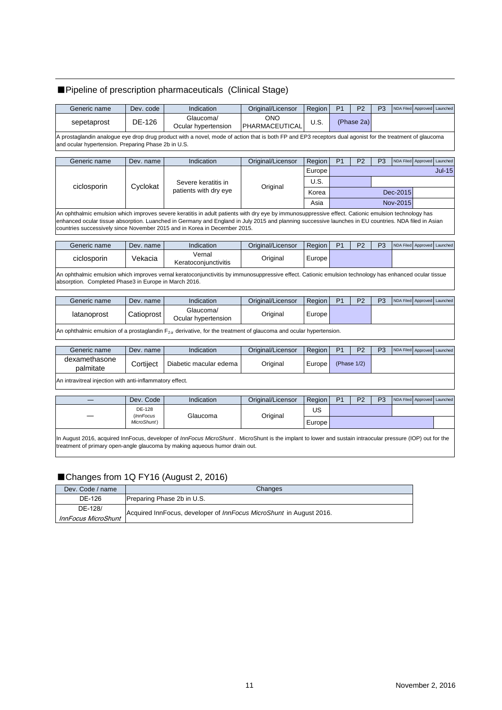## ■ Pipeline of prescription pharmaceuticals (Clinical Stage)

| Generic name                                                                                                                                                                                                    | Dev. code | Indication                       | Original/Licensor            | Region | P <sub>1</sub> | P <sub>2</sub> | P <sub>3</sub> | NDA Filed Approved Launched |  |
|-----------------------------------------------------------------------------------------------------------------------------------------------------------------------------------------------------------------|-----------|----------------------------------|------------------------------|--------|----------------|----------------|----------------|-----------------------------|--|
| sepetaprost                                                                                                                                                                                                     | DE-126    | Glaucoma/<br>Ocular hypertension | <b>ONO</b><br>PHARMACEUTICAL | U.S.   | (Phase 2a)     |                |                |                             |  |
| A prostaglandin analogue eye drop drug product with a novel, mode of action that is both FP and EP3 receptors dual agonist for the treatment of glaucoma<br>and ocular hypertension. Preparing Phase 2b in U.S. |           |                                  |                              |        |                |                |                |                             |  |
|                                                                                                                                                                                                                 |           |                                  |                              |        |                |                |                |                             |  |

| Generic name | Dev. name | Indication                                                                                                                                                                                                                                                                                                                                                                               | Original/Licensor | Region | P <sub>1</sub> | P <sub>2</sub> | P <sub>3</sub> |          | NDA Filed Approved Launched |          |
|--------------|-----------|------------------------------------------------------------------------------------------------------------------------------------------------------------------------------------------------------------------------------------------------------------------------------------------------------------------------------------------------------------------------------------------|-------------------|--------|----------------|----------------|----------------|----------|-----------------------------|----------|
| ciclosporin  | Cyclokat  | Severe keratitis in<br>patients with dry eye                                                                                                                                                                                                                                                                                                                                             | Original          | Europe |                |                |                |          |                             | $Jul-15$ |
|              |           |                                                                                                                                                                                                                                                                                                                                                                                          |                   | U.S.   |                |                |                |          |                             |          |
|              |           |                                                                                                                                                                                                                                                                                                                                                                                          |                   | Korea  |                | Dec-2015       |                |          |                             |          |
|              |           |                                                                                                                                                                                                                                                                                                                                                                                          |                   | Asia   |                |                |                | Nov-2015 |                             |          |
|              |           | An ophthalmic emulsion which improves severe keratitis in adult patients with dry eye by immunosuppressive effect. Cationic emulsion technology has<br>enhanced ocular tissue absorption. Luanched in Germany and England in July 2015 and planning successive launches in EU countries. NDA filed in Asian<br>countries successively since November 2015 and in Korea in December 2015. |                   |        |                |                |                |          |                             |          |

| Generic name | Dev. name | Indication                     | Original/Licensor | Region   | D <sub>4</sub> | פם | <b>D</b> <sub>2</sub> | NDA Filed Approved Launched |  |
|--------------|-----------|--------------------------------|-------------------|----------|----------------|----|-----------------------|-----------------------------|--|
| ciclosporin  | √ekacia   | Vernal<br>Keratoconiunctivitis | Original          | Europe i |                |    |                       |                             |  |
| .            | .         |                                |                   |          |                |    |                       |                             |  |

An ophthalmic emulsion which improves vernal keratoconjunctivitis by immunosuppressive effect. Cationic emulsion technology has enhanced ocular tissue absorption. Completed Phase3 in Europe in March 2016.

| Generic name | Dev. name  | Indication                       | Original/Licensor | Region | <b>P</b> | P <sub>3</sub> | NDA Filed Approved Launched |  |
|--------------|------------|----------------------------------|-------------------|--------|----------|----------------|-----------------------------|--|
| latanoprost  | Catioprost | Glaucoma/<br>Ocular hypertension | Original          | Europe |          |                |                             |  |

An ophthalmic emulsion of a prostaglandin  $F_{2\alpha}$  derivative, for the treatment of glaucoma and ocular hypertension.

| Generic name               | Dev. name | Indication             | Original/Licensor | Region | D <sub>4</sub> | פם<br>-     | P <sub>3</sub> | NDA Filed Approved Launched |  |
|----------------------------|-----------|------------------------|-------------------|--------|----------------|-------------|----------------|-----------------------------|--|
| dexamethasone<br>palmitate | Cortiiect | Diabetic macular edema | Original          | Europe |                | (Phase 1/2) |                |                             |  |
|                            |           |                        |                   |        |                |             |                |                             |  |

An intravitreal injection with anti-inflammatory effect.

|                                                                                                                                                                                                                                           | Dev. Code            | <b>Indication</b> | Original/Licensor | Region I | P <sub>1</sub><br>P <sub>3</sub><br>NDA Filed Approved Launched<br>P <sub>2</sub> |  |  |  |  |  |
|-------------------------------------------------------------------------------------------------------------------------------------------------------------------------------------------------------------------------------------------|----------------------|-------------------|-------------------|----------|-----------------------------------------------------------------------------------|--|--|--|--|--|
|                                                                                                                                                                                                                                           | DE-128<br>(InnFocus) | Glaucoma          | Original          | US       |                                                                                   |  |  |  |  |  |
|                                                                                                                                                                                                                                           | MicroShunt)          |                   |                   | Europe l |                                                                                   |  |  |  |  |  |
| In August 2016, acquired InnFocus, developer of InnFocus MicroShunt. MicroShunt is the implant to lower and sustain intraocular pressure (IOP) out for the<br>treatment of primary open-angle glaucoma by making aqueous humor drain out. |                      |                   |                   |          |                                                                                   |  |  |  |  |  |

## ■Changes from 1Q FY16 (August 2, 2016)

| Dev. Code / name           | Changes                                                             |
|----------------------------|---------------------------------------------------------------------|
| DE-126                     | Preparing Phase 2b in U.S.                                          |
| DE-128/                    | Acquired InnFocus, developer of InnFocus MicroShunt in August 2016. |
| <b>InnFocus MicroShunt</b> |                                                                     |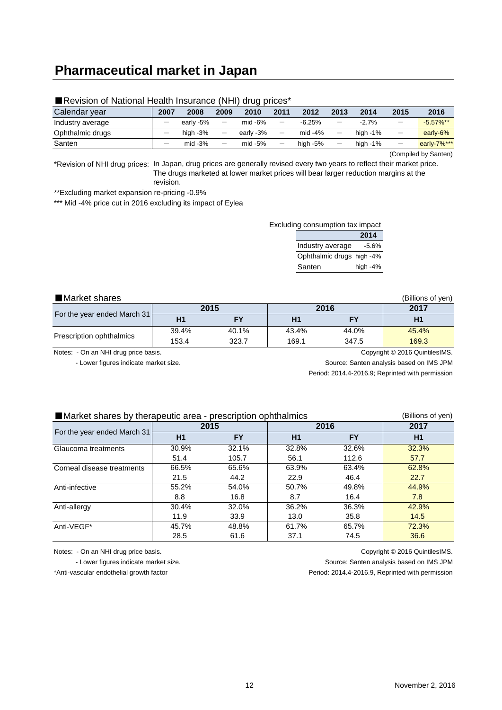## **Pharmaceutical market in Japan**

| Calendar year    | 2007 | 2008        | 2009                     | 2010      | 2011                     | 2012        | 2013              | 2014        | 2015                     | 2016         |
|------------------|------|-------------|--------------------------|-----------|--------------------------|-------------|-------------------|-------------|--------------------------|--------------|
| Industry average |      | early -5%   | $\overline{\phantom{m}}$ | mid -6%   | $\overline{\phantom{m}}$ | $-6.25%$    | $\qquad \qquad -$ | $-2.7%$     |                          | $-5.57\%$ ** |
| Ophthalmic drugs |      | high $-3\%$ | $\overline{\phantom{m}}$ | earlv -3% | $\overline{\phantom{m}}$ | mid $-4%$   | $\qquad \qquad -$ | high $-1\%$ | $\overline{\phantom{m}}$ | early-6%     |
| Santen           |      | mid $-3\%$  | $\overline{\phantom{a}}$ | $mid -5%$ | $\overline{\phantom{m}}$ | high $-5\%$ |                   | high $-1\%$ | $\overline{\phantom{a}}$ | early-7%***  |
|                  |      |             |                          |           |                          |             |                   |             | $\sim$                   |              |

#### ■Revision of National Health Insurance (NHI) drug prices<sup>\*</sup>

(Compiled by Santen)

\*Revision of NHI drug prices: In Japan, drug prices are generally revised every two years to reflect their market price. The drugs marketed at lower market prices will bear larger reduction margins at the revision.

\*\*Excluding market expansion re-pricing -0.9%

\*\*\* Mid -4% price cut in 2016 excluding its impact of Eylea

| Excluding consumption tax impact |  |
|----------------------------------|--|
|                                  |  |

|                           | 2014       |
|---------------------------|------------|
| Industry average          | $-5.6%$    |
| Ophthalmic drugs high -4% |            |
| Santen                    | high $-4%$ |

■Market shares (Billions of yen) **2017** 169.1 43.4% 40.1% 44.0% 169.3 45.4% 347.5 **H1 FY H1 FY H1 2015 2016** 323.7 39.4% 153.4 For the year ended March 31 Prescription ophthalmics

Notes: - On an NHI drug price basis. Copyright © 2016 QuintilesIMS.

- Lower figures indicate market size. Source: Santen analysis based on IMS JPM

Period: 2014.4-2016.9; Reprinted with permission

#### ■Market shares by therapeutic area - prescription ophthalmics (Billions of yen)

|                             |       | 2015      |       | 2016      | 2017  |
|-----------------------------|-------|-----------|-------|-----------|-------|
| For the year ended March 31 | H1    | <b>FY</b> | H1    | <b>FY</b> | H1    |
| Glaucoma treatments         | 30.9% | 32.1%     | 32.8% | 32.6%     | 32.3% |
|                             | 51.4  | 105.7     | 56.1  | 112.6     | 57.7  |
| Corneal disease treatments  | 66.5% | 65.6%     | 63.9% | 63.4%     | 62.8% |
|                             | 21.5  | 44.2      | 22.9  | 46.4      | 22.7  |
| Anti-infective              | 55.2% | 54.0%     | 50.7% | 49.8%     | 44.9% |
|                             | 8.8   | 16.8      | 8.7   | 16.4      | 7.8   |
| Anti-allergy                | 30.4% | 32.0%     | 36.2% | 36.3%     | 42.9% |
|                             | 11.9  | 33.9      | 13.0  | 35.8      | 14.5  |
| Anti-VEGF*                  | 45.7% | 48.8%     | 61.7% | 65.7%     | 72.3% |
|                             | 28.5  | 61.6      | 37.1  | 74.5      | 36.6  |

Notes: - On an NHI drug price basis. Copyright © 2016 QuintilesIMS.

- Lower figures indicate market size. Source: Santen analysis based on IMS JPM

\*Anti-vascular endothelial growth factor Period: 2014.4-2016.9, Reprinted with permission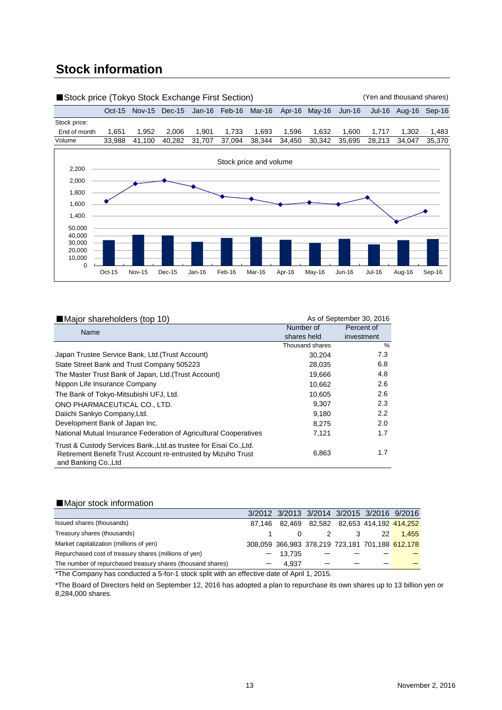## **Stock information**



| Major shareholders (top 10)                                                                                                                                  |                          | As of September 30, 2016 |
|--------------------------------------------------------------------------------------------------------------------------------------------------------------|--------------------------|--------------------------|
| Name                                                                                                                                                         | Number of<br>shares held | Percent of<br>investment |
|                                                                                                                                                              | Thousand shares          | $\frac{0}{0}$            |
| Japan Trustee Service Bank, Ltd. (Trust Account)                                                                                                             | 30,204                   | 7.3                      |
| State Street Bank and Trust Company 505223                                                                                                                   | 28,035                   | 6.8                      |
| The Master Trust Bank of Japan, Ltd. (Trust Account)                                                                                                         | 19,666                   | 4.8                      |
| Nippon Life Insurance Company                                                                                                                                | 10,662                   | 2.6                      |
| The Bank of Tokyo-Mitsubishi UFJ, Ltd.                                                                                                                       | 10,605                   | 2.6                      |
| ONO PHARMACEUTICAL CO., LTD.                                                                                                                                 | 9.307                    | 2.3                      |
| Daiichi Sankyo Company, Ltd.                                                                                                                                 | 9,180                    | $2.2^{\circ}$            |
| Development Bank of Japan Inc.                                                                                                                               | 8.275                    | 2.0                      |
| National Mutual Insurance Federation of Agricultural Cooperatives                                                                                            | 7,121                    | 1.7                      |
| Trust & Custody Services Bank., Ltd. as trustee for Eisai Co., Ltd.<br>Retirement Benefit Trust Account re-entrusted by Mizuho Trust<br>and Banking Co., Ltd | 6,863                    | 1.7                      |

## ■Major stock information

|                                                             |        |           |  |    | 3/2012 3/2013 3/2014 3/2015 3/2016 9/2016            |
|-------------------------------------------------------------|--------|-----------|--|----|------------------------------------------------------|
| Issued shares (thousands)                                   | 87.146 |           |  |    | 82,469  82,582  82,653  414,192 <mark>414,252</mark> |
| Treasury shares (thousands)                                 |        |           |  | 22 | 1.455                                                |
| Market capitalization (millions of yen)                     |        |           |  |    | 308,059 366,983 378,219 723,181 701,188 612,178      |
| Repurchased cost of treasury shares (millions of yen)       |        | $-13.735$ |  |    |                                                      |
| The number of repurchased treasury shares (thousand shares) |        | 4.937     |  |    |                                                      |

\*The Company has conducted a 5-for-1 stock split with an effective date of April 1, 2015.

\*The Board of Directors held on September 12, 2016 has adopted a plan to repurchase its own shares up to 13 billion yen or 8,284,000 shares.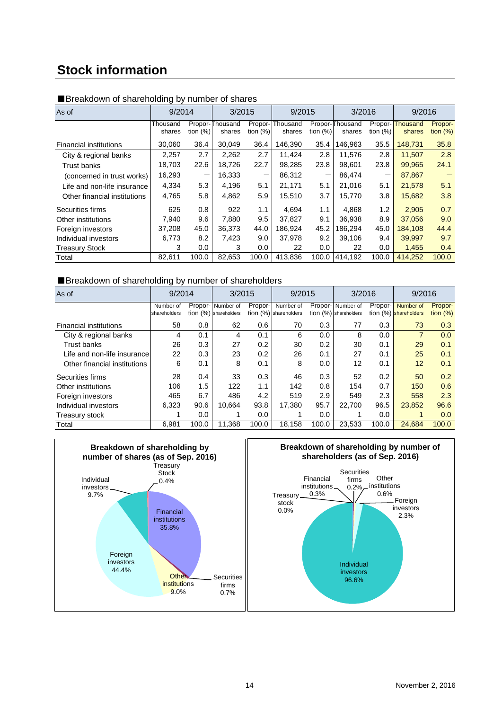## **Stock information**

| As of                         | 9/2014             |            | 3/2015                    |                       | 9/2015             |                          | 3/2016                    |                       | 9/2016                    |                        |
|-------------------------------|--------------------|------------|---------------------------|-----------------------|--------------------|--------------------------|---------------------------|-----------------------|---------------------------|------------------------|
|                               | Thousand<br>shares | tion $(%)$ | Propor-Thousand<br>shares | Propor-<br>tion $(%)$ | Thousand<br>shares | tion $(%)$               | Propor-Thousand<br>shares | Propor-<br>tion $(%)$ | <b>Thousand</b><br>shares | Propor-<br>tion $(\%)$ |
| <b>Financial institutions</b> | 30,060             | 36.4       | 30.049                    | 36.4                  | 146.390            | 35.4                     | 146,963                   | 35.5                  | 148,731                   | 35.8                   |
| City & regional banks         | 2.257              | 2.7        | 2,262                     | 2.7                   | 11.424             | 2.8                      | 11,576                    | 2.8                   | 11,507                    | 2.8                    |
| Trust banks                   | 18.703             | 22.6       | 18.726                    | 22.7                  | 98.285             | 23.8                     | 98.601                    | 23.8                  | 99.965                    | 24.1                   |
| (concerned in trust works)    | 16,293             | —          | 16,333                    | -                     | 86,312             | $\overline{\phantom{0}}$ | 86,474                    | —                     | 87,867                    |                        |
| Life and non-life insurance   | 4,334              | 5.3        | 4,196                     | 5.1                   | 21,171             | 5.1                      | 21,016                    | 5.1                   | 21,578                    | 5.1                    |
| Other financial institutions  | 4,765              | 5.8        | 4,862                     | 5.9                   | 15,510             | 3.7                      | 15,770                    | 3.8                   | 15,682                    | 3.8                    |
| Securities firms              | 625                | 0.8        | 922                       | 1.1                   | 4.694              | 1.1                      | 4.868                     | 1.2                   | 2,905                     | 0.7                    |
| Other institutions            | 7.940              | 9.6        | 7,880                     | 9.5                   | 37.827             | 9.1                      | 36,938                    | 8.9                   | 37,056                    | 9.0                    |
| Foreign investors             | 37,208             | 45.0       | 36,373                    | 44.0                  | 186.924            | 45.2                     | 186,294                   | 45.0                  | 184,108                   | 44.4                   |
| Individual investors          | 6.773              | 8.2        | 7,423                     | 9.0                   | 37.978             | 9.2                      | 39,106                    | 9.4                   | 39.997                    | 9.7                    |
| <b>Treasury Stock</b>         | 3                  | 0.0        | 3                         | 0.0                   | 22                 | 0.0                      | 22                        | 0.0                   | 1,455                     | 0.4                    |
| Total                         | 82,611             | 100.0      | 82,653                    | 100.0                 | 413.836            | 100.0                    | 414,192                   | 100.0                 | 414,252                   | 100.0                  |

## ■Breakdown of shareholding by number of shares

## ■Breakdown of shareholding by number of shareholders

| As of                         | 9/2014                    |       | 3/2015                                       |         | 9/2015                               |       | 3/2016                                       |         | 9/2016                             |                       |
|-------------------------------|---------------------------|-------|----------------------------------------------|---------|--------------------------------------|-------|----------------------------------------------|---------|------------------------------------|-----------------------|
|                               | Number of<br>shareholders |       | Propor- Number of<br>$tion (%)$ shareholders | Propor- | Number of<br>tion $(%)$ shareholders |       | Propor- Number of<br>$tion (%)$ shareholders | Propor- | Number of<br>tion (%) shareholders | Propor-<br>tion $(%)$ |
| <b>Financial institutions</b> | 58                        | 0.8   | 62                                           | 0.6     | 70                                   | 0.3   | 77                                           | 0.3     | 73                                 | 0.3                   |
| City & regional banks         | 4                         | 0.1   | 4                                            | 0.1     | 6                                    | 0.0   | 8                                            | 0.0     | 7                                  | 0.0                   |
| <b>Trust banks</b>            | 26                        | 0.3   | 27                                           | 0.2     | 30                                   | 0.2   | 30                                           | 0.1     | 29                                 | 0.1                   |
| Life and non-life insurance   | 22                        | 0.3   | 23                                           | 0.2     | 26                                   | 0.1   | 27                                           | 0.1     | 25                                 | 0.1                   |
| Other financial institutions  | 6                         | 0.1   | 8                                            | 0.1     | 8                                    | 0.0   | 12                                           | 0.1     | 12                                 | 0.1                   |
| Securities firms              | 28                        | 0.4   | 33                                           | 0.3     | 46                                   | 0.3   | 52                                           | 0.2     | 50                                 | 0.2                   |
| Other institutions            | 106                       | 1.5   | 122                                          | 1.1     | 142                                  | 0.8   | 154                                          | 0.7     | 150                                | 0.6                   |
| Foreign investors             | 465                       | 6.7   | 486                                          | 4.2     | 519                                  | 2.9   | 549                                          | 2.3     | 558                                | 2.3                   |
| Individual investors          | 6,323                     | 90.6  | 10,664                                       | 93.8    | 17.380                               | 95.7  | 22,700                                       | 96.5    | 23,852                             | 96.6                  |
| Treasury stock                |                           | 0.0   |                                              | 0.0     |                                      | 0.0   |                                              | 0.0     |                                    | 0.0                   |
| Total                         | 6.981                     | 100.0 | 11,368                                       | 100.0   | 18,158                               | 100.0 | 23,533                                       | 100.0   | 24.684                             | 100.0                 |



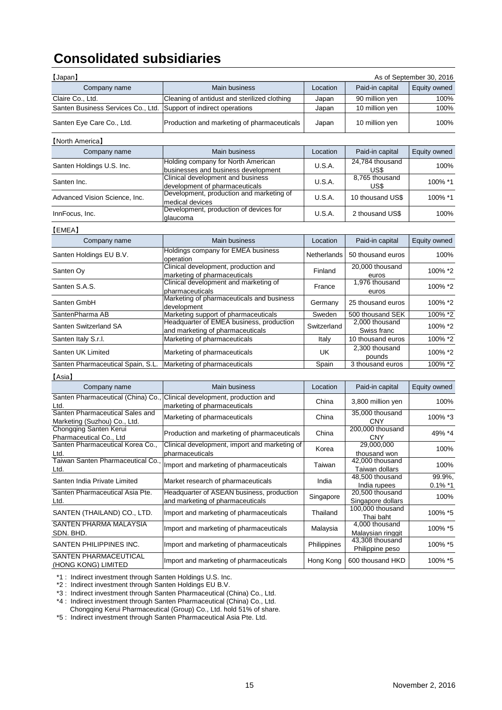# **Consolidated subsidiaries**

| [Japan]<br>As of September 30, 2016                             |                                                                                                            |               |                                                  |                      |  |  |  |  |
|-----------------------------------------------------------------|------------------------------------------------------------------------------------------------------------|---------------|--------------------------------------------------|----------------------|--|--|--|--|
| Company name                                                    | Main business<br>Paid-in capital<br>Location                                                               |               |                                                  | Equity owned         |  |  |  |  |
| Claire Co., Ltd.                                                | Cleaning of antidust and sterilized clothing                                                               | Japan         | 90 million yen                                   | 100%                 |  |  |  |  |
| Santen Business Services Co., Ltd.                              | Support of indirect operations                                                                             | Japan         | 10 million yen                                   | 100%                 |  |  |  |  |
| Santen Eye Care Co., Ltd.                                       | Production and marketing of pharmaceuticals                                                                | Japan         | 10 million yen                                   | 100%                 |  |  |  |  |
| [North America]                                                 |                                                                                                            |               |                                                  |                      |  |  |  |  |
| Company name                                                    | <b>Main business</b>                                                                                       | Location      | Paid-in capital                                  | Equity owned         |  |  |  |  |
| Santen Holdings U.S. Inc.                                       | Holding company for North American                                                                         | U.S.A.        | 24,784 thousand                                  | 100%                 |  |  |  |  |
| Santen Inc.                                                     | businesses and business development<br>Clinical development and business<br>development of pharmaceuticals | U.S.A.        | US\$<br>8.765 thousand<br>US\$                   | 100% *1              |  |  |  |  |
| Advanced Vision Science, Inc.                                   | Development, production and marketing of                                                                   | U.S.A.        | 10 thousand US\$                                 | 100% *1              |  |  |  |  |
|                                                                 | medical devices<br>Development, production of devices for                                                  | <b>U.S.A.</b> |                                                  |                      |  |  |  |  |
| InnFocus, Inc.                                                  | glaucoma                                                                                                   |               | 2 thousand US\$                                  | 100%                 |  |  |  |  |
| [EMEA]                                                          |                                                                                                            |               |                                                  |                      |  |  |  |  |
| Company name                                                    | Main business                                                                                              | Location      | Paid-in capital                                  | Equity owned         |  |  |  |  |
| Santen Holdings EU B.V.                                         | Holdings company for EMEA business<br>operation                                                            | Netherlands   | 50 thousand euros                                | 100%                 |  |  |  |  |
| Santen Oy                                                       | Clinical development, production and<br>marketing of pharmaceuticals                                       | Finland       | 20,000 thousand<br>euros                         | 100% *2              |  |  |  |  |
| Santen S.A.S.                                                   | Clinical development and marketing of<br>pharmaceuticals                                                   | France        | 1,976 thousand<br>euros                          | 100% *2              |  |  |  |  |
| Santen GmbH                                                     | Marketing of pharmaceuticals and business<br>development                                                   | Germany       | 25 thousand euros                                | 100% *2              |  |  |  |  |
| SantenPharma AB                                                 | Marketing support of pharmaceuticals                                                                       | Sweden        | 500 thousand SEK                                 | 100% *2              |  |  |  |  |
| Santen Switzerland SA                                           | Headquarter of EMEA business, production<br>and marketing of pharmaceuticals                               | Switzerland   | 2,000 thousand<br>Swiss franc                    | 100% *2              |  |  |  |  |
| Santen Italy S.r.l.                                             | Marketing of pharmaceuticals                                                                               | Italy         | 10 thousand euros                                | 100% *2              |  |  |  |  |
| Santen UK Limited                                               | Marketing of pharmaceuticals                                                                               | UK            | 2,300 thousand<br>pounds                         | 100% *2              |  |  |  |  |
| Santen Pharmaceutical Spain, S.L.                               | Marketing of pharmaceuticals                                                                               | Spain         | 3 thousand euros                                 | 100% *2              |  |  |  |  |
| [Asia]                                                          |                                                                                                            |               |                                                  |                      |  |  |  |  |
| Company name                                                    | Main business                                                                                              | Location      | Paid-in capital                                  | Equity owned         |  |  |  |  |
| Santen Pharmaceutical (China) Co.,<br>Ltd.                      | Clinical development, production and<br>marketing of pharmaceuticals                                       | China         | 3,800 million yen                                | 100%                 |  |  |  |  |
| Santen Pharmaceutical Sales and<br>Marketing (Suzhou) Co., Ltd. | Marketing of pharmaceuticals                                                                               | China         | 35,000 thousand<br><b>CNY</b>                    | 100% *3              |  |  |  |  |
| Chongqing Santen Kerui<br>Pharmaceutical Co., Ltd               | Production and marketing of pharmaceuticals                                                                | China         | 200,000 thousand<br><b>CNY</b>                   | 49% *4               |  |  |  |  |
| Santen Pharmaceutical Korea Co<br>Ltd.                          | Clinical development, import and marketing of<br>pharmaceuticals                                           | Korea         | 29,000,000<br>thousand won                       | 100%                 |  |  |  |  |
| Taiwan Santen Pharmaceutical Co.,<br>Ltd.                       | Import and marketing of pharmaceuticals                                                                    | Taiwan        | 42,000 thousand<br>Taiwan dollars                | 100%                 |  |  |  |  |
| Santen India Private Limited                                    | Market research of pharmaceuticals                                                                         | India         | 48,500 thousand<br>India rupees                  | 99.9%,<br>$0.1\%$ *1 |  |  |  |  |
| Santen Pharmaceutical Asia Pte.<br>Ltd.                         | Headquarter of ASEAN business, production<br>and marketing of pharmaceuticals                              | Singapore     | 20,500 thousand<br>Singapore dollars             | 100%                 |  |  |  |  |
| SANTEN (THAILAND) CO., LTD.                                     | Import and marketing of pharmaceuticals                                                                    | Thailand      | 100,000 thousand                                 | 100% *5              |  |  |  |  |
| SANTEN PHARMA MALAYSIA<br>SDN. BHD.                             | Import and marketing of pharmaceuticals                                                                    | Malaysia      | Thai baht<br>4,000 thousand<br>Malaysian ringgit | 100% *5              |  |  |  |  |
| SANTEN PHILIPPINES INC.                                         | Import and marketing of pharmaceuticals                                                                    | Philippines   | 43,308 thousand<br>Philippine peso               | 100% *5              |  |  |  |  |
| SANTEN PHARMACEUTICAL<br>(HONG KONG) LIMITED                    | Import and marketing of pharmaceuticals                                                                    | Hong Kong     | 600 thousand HKD                                 | 100% *5              |  |  |  |  |

\*1 : Indirect investment through Santen Holdings U.S. Inc.

\*2 : Indirect investment through Santen Holdings EU B.V.

\*3 : Indirect investment through Santen Pharmaceutical (China) Co., Ltd.

\*4 : Indirect investment through Santen Pharmaceutical (China) Co., Ltd.

Chongqing Kerui Pharmaceutical (Group) Co., Ltd. hold 51% of share.

\*5 : Indirect investment through Santen Pharmaceutical Asia Pte. Ltd.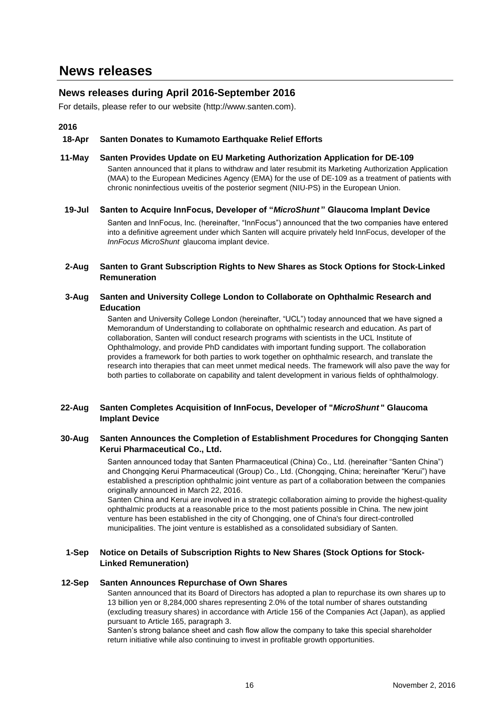## **News releases during April 2016-September 2016**

For details, please refer to our website (http://www.santen.com).

**2016**

#### **18-Apr Santen Donates to Kumamoto Earthquake Relief Efforts**

**11-May Santen Provides Update on EU Marketing Authorization Application for DE-109** Santen announced that it plans to withdraw and later resubmit its Marketing Authorization Application (MAA) to the European Medicines Agency (EMA) for the use of DE-109 as a treatment of patients with chronic noninfectious uveitis of the posterior segment (NIU-PS) in the European Union.

#### **19-Jul Santen to Acquire InnFocus, Developer of "***MicroShunt* **" Glaucoma Implant Device**

Santen and InnFocus, Inc. (hereinafter, "InnFocus") announced that the two companies have entered into a definitive agreement under which Santen will acquire privately held InnFocus, developer of the *InnFocus MicroShunt* glaucoma implant device.

#### **2-Aug Santen to Grant Subscription Rights to New Shares as Stock Options for Stock-Linked Remuneration**

#### **3-Aug Santen and University College London to Collaborate on Ophthalmic Research and Education**

Santen and University College London (hereinafter, "UCL") today announced that we have signed a Memorandum of Understanding to collaborate on ophthalmic research and education. As part of collaboration, Santen will conduct research programs with scientists in the UCL Institute of Ophthalmology, and provide PhD candidates with important funding support. The collaboration provides a framework for both parties to work together on ophthalmic research, and translate the research into therapies that can meet unmet medical needs. The framework will also pave the way for both parties to collaborate on capability and talent development in various fields of ophthalmology.

#### **22-Aug Santen Completes Acquisition of InnFocus, Developer of "***MicroShunt* **" Glaucoma Implant Device**

#### **30-Aug Santen Announces the Completion of Establishment Procedures for Chongqing Santen Kerui Pharmaceutical Co., Ltd.**

Santen announced today that Santen Pharmaceutical (China) Co., Ltd. (hereinafter "Santen China") and Chongqing Kerui Pharmaceutical (Group) Co., Ltd. (Chongqing, China; hereinafter "Kerui") have established a prescription ophthalmic joint venture as part of a collaboration between the companies originally announced in March 22, 2016.

Santen China and Kerui are involved in a strategic collaboration aiming to provide the highest-quality ophthalmic products at a reasonable price to the most patients possible in China. The new joint venture has been established in the city of Chongqing, one of China's four direct-controlled municipalities. The joint venture is established as a consolidated subsidiary of Santen.

#### **1-Sep Notice on Details of Subscription Rights to New Shares (Stock Options for Stock-Linked Remuneration)**

#### **12-Sep Santen Announces Repurchase of Own Shares**

Santen announced that its Board of Directors has adopted a plan to repurchase its own shares up to 13 billion yen or 8,284,000 shares representing 2.0% of the total number of shares outstanding (excluding treasury shares) in accordance with Article 156 of the Companies Act (Japan), as applied pursuant to Article 165, paragraph 3.

Santen's strong balance sheet and cash flow allow the company to take this special shareholder return initiative while also continuing to invest in profitable growth opportunities.